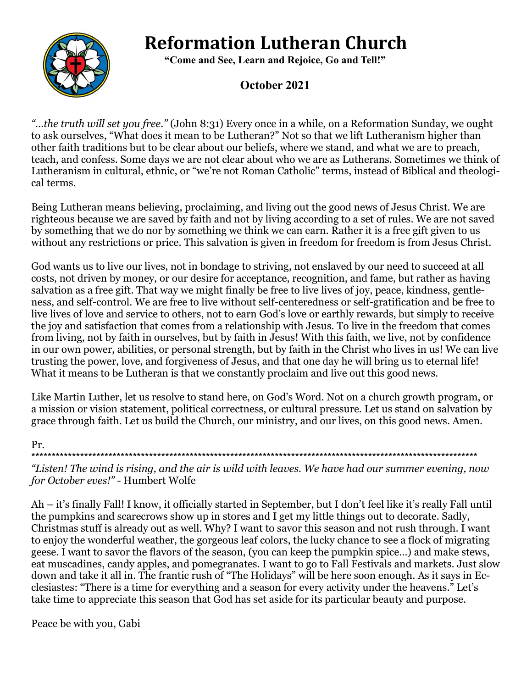# **Reformation Lutheran Church**



 **"Come and See, Learn and Rejoice, Go and Tell!"**

### **October 2021**

*"…the truth will set you free."* (John 8:31) Every once in a while, on a Reformation Sunday, we ought to ask ourselves, "What does it mean to be Lutheran?" Not so that we lift Lutheranism higher than other faith traditions but to be clear about our beliefs, where we stand, and what we are to preach, teach, and confess. Some days we are not clear about who we are as Lutherans. Sometimes we think of Lutheranism in cultural, ethnic, or "we're not Roman Catholic" terms, instead of Biblical and theological terms.

Being Lutheran means believing, proclaiming, and living out the good news of Jesus Christ. We are righteous because we are saved by faith and not by living according to a set of rules. We are not saved by something that we do nor by something we think we can earn. Rather it is a free gift given to us without any restrictions or price. This salvation is given in freedom for freedom is from Jesus Christ.

God wants us to live our lives, not in bondage to striving, not enslaved by our need to succeed at all costs, not driven by money, or our desire for acceptance, recognition, and fame, but rather as having salvation as a free gift. That way we might finally be free to live lives of joy, peace, kindness, gentleness, and self-control. We are free to live without self-centeredness or self-gratification and be free to live lives of love and service to others, not to earn God's love or earthly rewards, but simply to receive the joy and satisfaction that comes from a relationship with Jesus. To live in the freedom that comes from living, not by faith in ourselves, but by faith in Jesus! With this faith, we live, not by confidence in our own power, abilities, or personal strength, but by faith in the Christ who lives in us! We can live trusting the power, love, and forgiveness of Jesus, and that one day he will bring us to eternal life! What it means to be Lutheran is that we constantly proclaim and live out this good news.

Like Martin Luther, let us resolve to stand here, on God's Word. Not on a church growth program, or a mission or vision statement, political correctness, or cultural pressure. Let us stand on salvation by grace through faith. Let us build the Church, our ministry, and our lives, on this good news. Amen.

Pr.

\*\*\*\*\*\*\*\*\*\*\*\*\*\*\*\*\*\*\*\*\*\*\*\*\*\*\*\*\*\*\*\*\*\*\*\*\*\*\*\*\*\*\*\*\*\*\*\*\*\*\*\*\*\*\*\*\*\*\*\*\*\*\*\*\*\*\*\*\*\*\*\*\*\*\*\*\*\*\*\*\*\*\*\*\*\*\*\*\*\*\*\*\*\*\*\*\*\*\*\*\*\*\*\*\*\*\*\*\*\*

*"Listen! The wind is rising, and the air is wild with leaves. We have had our summer evening, now for October eves!"* - Humbert Wolfe

Ah – it's finally Fall! I know, it officially started in September, but I don't feel like it's really Fall until the pumpkins and scarecrows show up in stores and I get my little things out to decorate. Sadly, Christmas stuff is already out as well. Why? I want to savor this season and not rush through. I want to enjoy the wonderful weather, the gorgeous leaf colors, the lucky chance to see a flock of migrating geese. I want to savor the flavors of the season, (you can keep the pumpkin spice…) and make stews, eat muscadines, candy apples, and pomegranates. I want to go to Fall Festivals and markets. Just slow down and take it all in. The frantic rush of "The Holidays" will be here soon enough. As it says in Ecclesiastes: "There is a time for everything and a season for every activity under the heavens." Let's take time to appreciate this season that God has set aside for its particular beauty and purpose.

Peace be with you, Gabi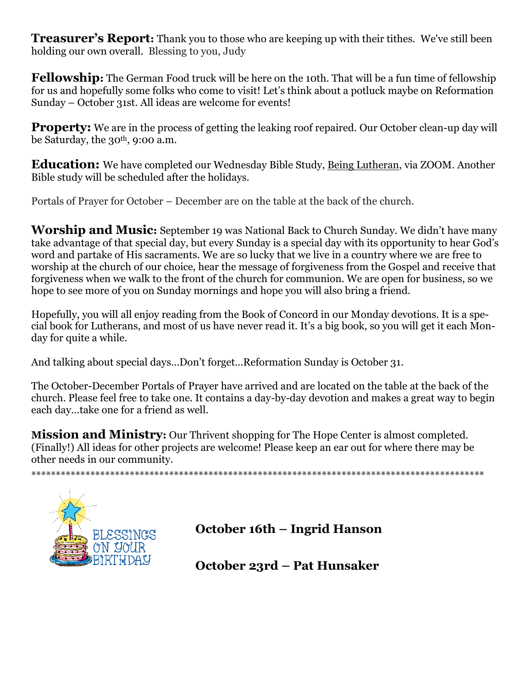**Treasurer's Report:** Thank you to those who are keeping up with their tithes. We've still been holding our own overall. Blessing to you, Judy

**Fellowship:** The German Food truck will be here on the 10th. That will be a fun time of fellowship for us and hopefully some folks who come to visit! Let's think about a potluck maybe on Reformation Sunday – October 31st. All ideas are welcome for events!

**Property:** We are in the process of getting the leaking roof repaired. Our October clean-up day will be Saturday, the  $30<sup>th</sup>$ , 9:00 a.m.

**Education:** We have completed our Wednesday Bible Study, Being Lutheran, via ZOOM. Another Bible study will be scheduled after the holidays.

Portals of Prayer for October – December are on the table at the back of the church.

**Worship and Music:** September 19 was National Back to Church Sunday. We didn't have many take advantage of that special day, but every Sunday is a special day with its opportunity to hear God's word and partake of His sacraments. We are so lucky that we live in a country where we are free to worship at the church of our choice, hear the message of forgiveness from the Gospel and receive that forgiveness when we walk to the front of the church for communion. We are open for business, so we hope to see more of you on Sunday mornings and hope you will also bring a friend.

Hopefully, you will all enjoy reading from the Book of Concord in our Monday devotions. It is a special book for Lutherans, and most of us have never read it. It's a big book, so you will get it each Monday for quite a while.

And talking about special days…Don't forget…Reformation Sunday is October 31.

The October-December Portals of Prayer have arrived and are located on the table at the back of the church. Please feel free to take one. It contains a day-by-day devotion and makes a great way to begin each day…take one for a friend as well.

**Mission and Ministry:** Our Thrivent shopping for The Hope Center is almost completed. (Finally!) All ideas for other projects are welcome! Please keep an ear out for where there may be other needs in our community.

\*\*\*\*\*\*\*\*\*\*\*\*\*\*\*\*\*\*\*\*\*\*\*\*\*\*\*\*\*\*\*\*\*\*\*\*\*\*\*\*\*\*\*\*\*\*\*\*\*\*\*\*\*\*\*\*\*\*\*\*\*\*\*\*\*\*\*\*\*\*\*\*\*\*\*\*\*\*\*\*\*\*\*\*\*\*\*\*\*\*\*\*



**October 16th – Ingrid Hanson**

**October 23rd – Pat Hunsaker**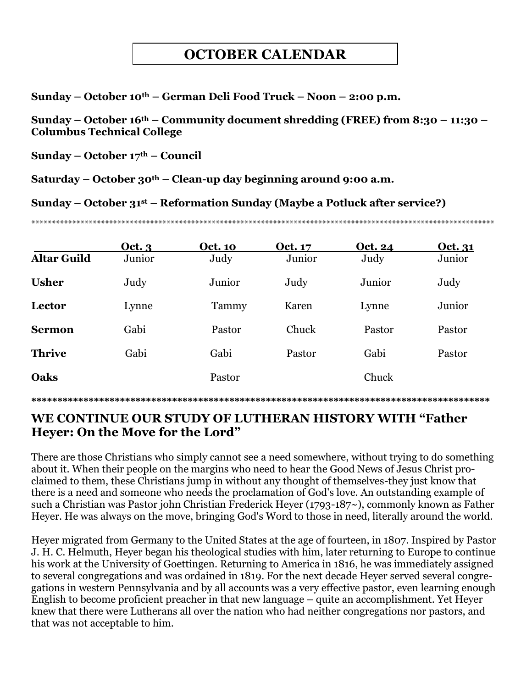## **OCTOBER CALENDAR**

Sunday – October 10<sup>th</sup> – German Deli Food Truck – Noon – 2:00 p.m.

Sunday – October  $16<sup>th</sup>$  – Community document shredding (FREE) from 8:30 – 11:30 – **Columbus Technical College** 

Sunday – October  $17<sup>th</sup>$  – Council

Saturday – October  $30<sup>th</sup>$  – Clean-up day beginning around 9:00 a.m.

Sunday – October 31st – Reformation Sunday (Maybe a Potluck after service?)

|                    | Oct. 3 | <b>Oct. 10</b> | Oct. 17 | Oct. 24 | Oct. 31 |
|--------------------|--------|----------------|---------|---------|---------|
| <b>Altar Guild</b> | Junior | Judy           | Junior  | Judy    | Junior  |
| <b>Usher</b>       | Judy   | Junior         | Judy    | Junior  | Judy    |
| Lector             | Lynne  | Tammy          | Karen   | Lynne   | Junior  |
| <b>Sermon</b>      | Gabi   | Pastor         | Chuck   | Pastor  | Pastor  |
| <b>Thrive</b>      | Gabi   | Gabi           | Pastor  | Gabi    | Pastor  |
| Oaks               |        | Pastor         |         | Chuck   |         |

#### WE CONTINUE OUR STUDY OF LUTHERAN HISTORY WITH "Father Heyer: On the Move for the Lord"

There are those Christians who simply cannot see a need somewhere, without trying to do something about it. When their people on the margins who need to hear the Good News of Jesus Christ proclaimed to them, these Christians jump in without any thought of themselves-they just know that there is a need and someone who needs the proclamation of God's love. An outstanding example of such a Christian was Pastor john Christian Frederick Heyer (1793-187~), commonly known as Father Heyer. He was always on the move, bringing God's Word to those in need, literally around the world.

Heyer migrated from Germany to the United States at the age of fourteen, in 1807. Inspired by Pastor J. H. C. Helmuth, Heyer began his theological studies with him, later returning to Europe to continue his work at the University of Goettingen. Returning to America in 1816, he was immediately assigned to several congregations and was ordained in 1819. For the next decade Heyer served several congregations in western Pennsylvania and by all accounts was a very effective pastor, even learning enough English to become proficient preacher in that new language – quite an accomplishment. Yet Heyer knew that there were Lutherans all over the nation who had neither congregations nor pastors, and that was not acceptable to him.